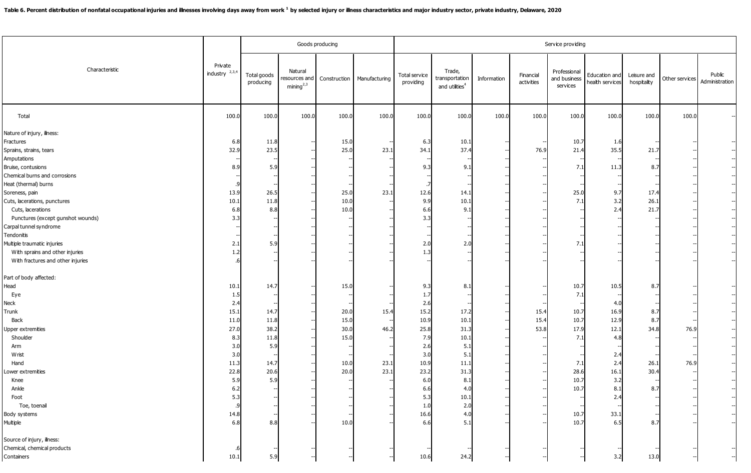| Characteristic                                                                                                                                                                                                                                                                                                                                     | Private<br>industry $2,3,4$                                                                                         | Goods producing                                                           |                                                   |                                                              |                            | Service providing                                                                                                         |                                                                                                              |             |                         |                                                                                           |                                                                                                      |                                                     |                |                          |  |
|----------------------------------------------------------------------------------------------------------------------------------------------------------------------------------------------------------------------------------------------------------------------------------------------------------------------------------------------------|---------------------------------------------------------------------------------------------------------------------|---------------------------------------------------------------------------|---------------------------------------------------|--------------------------------------------------------------|----------------------------|---------------------------------------------------------------------------------------------------------------------------|--------------------------------------------------------------------------------------------------------------|-------------|-------------------------|-------------------------------------------------------------------------------------------|------------------------------------------------------------------------------------------------------|-----------------------------------------------------|----------------|--------------------------|--|
|                                                                                                                                                                                                                                                                                                                                                    |                                                                                                                     | Total goods<br>producing                                                  | Natural<br>resources and<br>mining <sup>2,3</sup> | Construction                                                 | Manufacturing              | Total service<br>providing                                                                                                | Trade,<br>transportation<br>and utilities <sup>4</sup>                                                       | Information | Financial<br>activities | Professional<br>and business<br>services                                                  | Education and<br>health services                                                                     | Leisure and<br>hospitality                          | Other services | Public<br>Administration |  |
| Total                                                                                                                                                                                                                                                                                                                                              | 100.0                                                                                                               | 100.0                                                                     | 100.0                                             | 100.0                                                        | 100.0                      | 100.0                                                                                                                     | 100.0                                                                                                        | 100.0       | 100.0                   | 100.0                                                                                     | 100.0                                                                                                | 100.0                                               | 100.0          |                          |  |
| Nature of injury, ilness:<br>Fractures<br>Sprains, strains, tears<br>Amputations<br>Bruise, contusions<br>Chemical burns and corrosions<br>Heat (thermal) burns<br>Soreness, pain<br>Cuts, lacerations, punctures<br>Cuts, lacerations<br>Punctures (except gunshot wounds)<br>Carpal tunnel syndrome<br>Tendonitis<br>Multiple traumatic injuries | 6.8<br>32.9<br>8.9<br>13.9<br>10.1<br>6.8<br>3.3<br>2.1                                                             | 11.8<br>23.5<br>5.9<br>26.5<br>11.8<br>8.8<br>5.9                         |                                                   | 15.0<br>25.0<br>25.0<br>10.0<br>10.0                         | 23.<br>23.1                | 6.3<br>34.1<br>9.3<br>12.6<br>9.9<br>6.6<br>3.3<br>2.0                                                                    | 10.1<br>37.4<br>9.1<br>14.1<br>10.1<br>9.1<br>2.0                                                            |             | 76.9                    | 10.7<br>21.4<br>7.1<br>25.0<br>7.1<br>7.1                                                 | 1.6<br>35.5<br>11.3<br>9.7<br>3.2<br>2.4                                                             | 21.7<br>8.<br>17.4<br>26.1<br>21.7                  |                |                          |  |
| With sprains and other injuries<br>With fractures and other injuries                                                                                                                                                                                                                                                                               | 1.2                                                                                                                 |                                                                           |                                                   |                                                              |                            | 1.3                                                                                                                       |                                                                                                              |             |                         |                                                                                           |                                                                                                      |                                                     |                |                          |  |
| Part of body affected:<br>Head<br>Eye<br>Neck<br>Trunk<br>Back<br><b>Upper extremities</b><br>Shoulder<br>Arm<br>Wrist<br>Hand<br>ower extremities<br>Knee<br>Ankle<br>Foot<br>Toe, toenal<br>Body systems<br>Multiple                                                                                                                             | 10.1<br>1.5<br>2.4<br>15.3<br>11.0<br>27.0<br>8.3<br>3.0<br>3.0<br>11.3<br>22.8<br>5.9<br>6.2<br>5.3<br>14.8<br>6.8 | 14.7<br>14.7<br>11.8<br>38.2<br>11.8<br>5.9<br>14.7<br>20.6<br>5.9<br>8.8 |                                                   | 15.0<br>20.0<br>15.0<br>30.0<br>15.0<br>10.0<br>20.0<br>10.0 | 15.4<br>46.7<br>23.<br>23. | 9.3<br>1.7<br>2.6<br>15.2<br>10.9<br>25.8<br>7.9<br>2.6<br>3.0<br>10.9<br>23.2<br>6.0<br>6.6<br>5.3<br>1.0<br>16.6<br>6.6 | 8.3<br>17.2<br>10.1<br>31.3<br>10.1<br>5.1<br>5.1<br>11.1<br>31.3<br>8.1<br>4.0<br>10.1<br>2.0<br>4.0<br>5.1 |             | 15.4<br>15.4<br>53.8    | 10.7<br>7.1<br>10.7<br>10.7<br>17.9<br>7.1<br>7.1<br>28.6<br>10.7<br>10.7<br>10.7<br>10.7 | 10.5<br>4.0<br>16.9<br>12.9<br>12.1<br>4.8<br>2.4<br>2.4<br>16.1<br>3.2<br>8.1<br>2.4<br>33.1<br>6.5 | 8.<br>8.<br>8.7<br>34.8<br>26.1<br>30.4<br>8.<br>8. | 76.9<br>76.9   |                          |  |
| Source of injury, illness:<br>Chemical, chemical products<br>Containers                                                                                                                                                                                                                                                                            | 10.1                                                                                                                | 5.9                                                                       |                                                   |                                                              |                            | 10.6                                                                                                                      | 24.2                                                                                                         |             |                         |                                                                                           | 3.2                                                                                                  | 13.0                                                |                |                          |  |